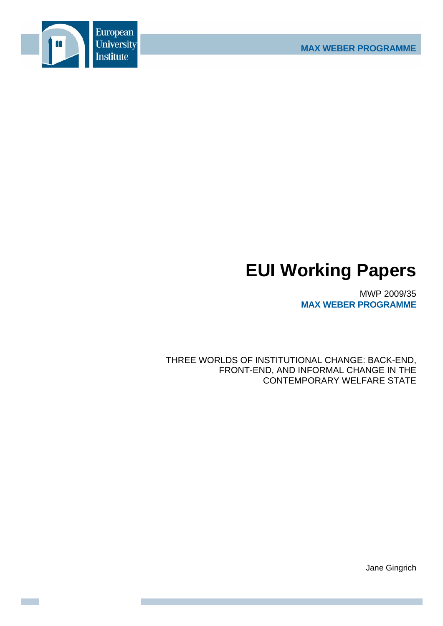

# **EUI Working Papers**

MWP 2009/35 **MAX WEBER PROGRAMME**

THREE WORLDS OF INSTITUTIONAL CHANGE: BACK-END, FRONT-END, AND INFORMAL CHANGE IN THE CONTEMPORARY WELFARE STATE

Jane Gingrich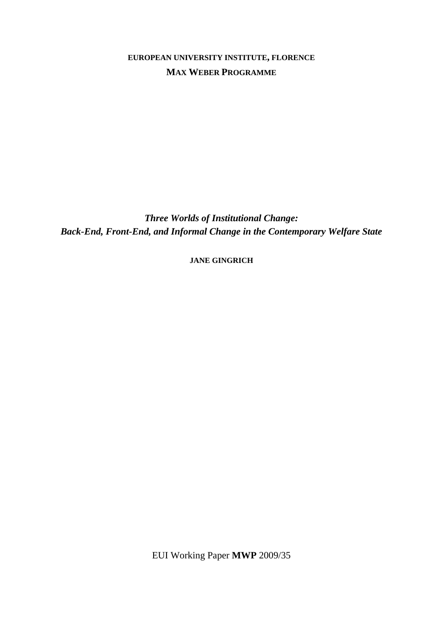# **EUROPEAN UNIVERSITY INSTITUTE, FLORENCE MAX WEBER PROGRAMME**

*Three Worlds of Institutional Change: Back-End, Front-End, and Informal Change in the Contemporary Welfare State* 

**JANE GINGRICH**

EUI Working Paper **MWP** 2009/35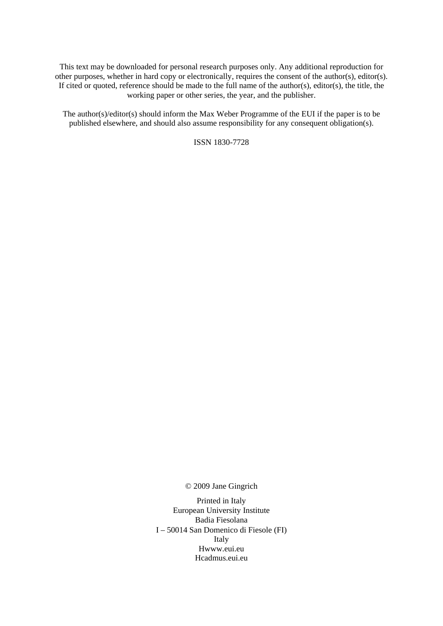This text may be downloaded for personal research purposes only. Any additional reproduction for other purposes, whether in hard copy or electronically, requires the consent of the author(s), editor(s). If cited or quoted, reference should be made to the full name of the author(s), editor(s), the title, the working paper or other series, the year, and the publisher.

The author(s)/editor(s) should inform the Max Weber Programme of the EUI if the paper is to be published elsewhere, and should also assume responsibility for any consequent obligation(s).

ISSN 1830-7728

© 2009 Jane Gingrich

Printed in Italy European University Institute Badia Fiesolana I – 50014 San Domenico di Fiesole (FI) Italy Hwww.eui.eu H cadmus.eui.eu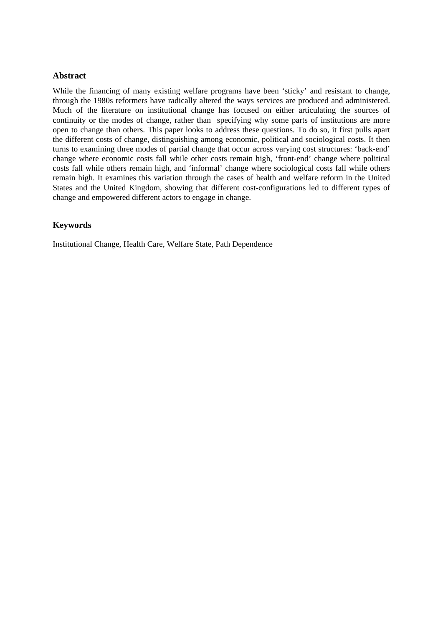# **Abstract**

While the financing of many existing welfare programs have been 'sticky' and resistant to change, through the 1980s reformers have radically altered the ways services are produced and administered. Much of the literature on institutional change has focused on either articulating the sources of continuity or the modes of change, rather than specifying why some parts of institutions are more open to change than others. This paper looks to address these questions. To do so, it first pulls apart the different costs of change, distinguishing among economic, political and sociological costs. It then turns to examining three modes of partial change that occur across varying cost structures: 'back-end' change where economic costs fall while other costs remain high, 'front-end' change where political costs fall while others remain high, and 'informal' change where sociological costs fall while others remain high. It examines this variation through the cases of health and welfare reform in the United States and the United Kingdom, showing that different cost-configurations led to different types of change and empowered different actors to engage in change.

# **Keywords**

Institutional Change, Health Care, Welfare State, Path Dependence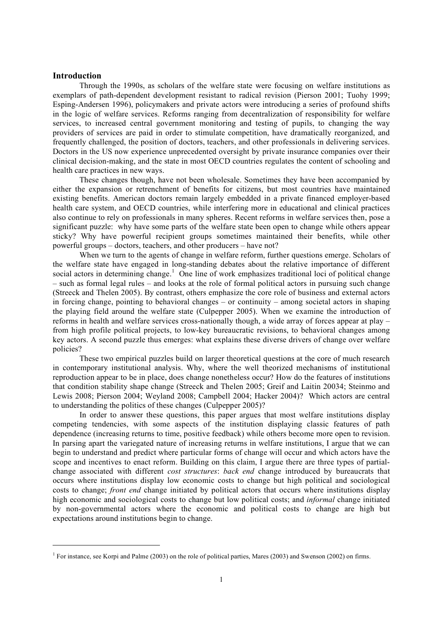### **Introduction**

1

Through the 1990s, as scholars of the welfare state were focusing on welfare institutions as exemplars of path-dependent development resistant to radical revision (Pierson 2001; Tuohy 1999; Esping-Andersen 1996), policymakers and private actors were introducing a series of profound shifts in the logic of welfare services. Reforms ranging from decentralization of responsibility for welfare services, to increased central government monitoring and testing of pupils, to changing the way providers of services are paid in order to stimulate competition, have dramatically reorganized, and frequently challenged, the position of doctors, teachers, and other professionals in delivering services. Doctors in the US now experience unprecedented oversight by private insurance companies over their clinical decision-making, and the state in most OECD countries regulates the content of schooling and health care practices in new ways.

These changes though, have not been wholesale. Sometimes they have been accompanied by either the expansion or retrenchment of benefits for citizens, but most countries have maintained existing benefits. American doctors remain largely embedded in a private financed employer-based health care system, and OECD countries, while interfering more in educational and clinical practices also continue to rely on professionals in many spheres. Recent reforms in welfare services then, pose a significant puzzle: why have some parts of the welfare state been open to change while others appear sticky? Why have powerful recipient groups sometimes maintained their benefits, while other powerful groups – doctors, teachers, and other producers – have not?

When we turn to the agents of change in welfare reform, further questions emerge. Scholars of the welfare state have engaged in long-standing debates about the relative importance of different social actors in determining change.<sup>1</sup> One line of work emphasizes traditional loci of political change – such as formal legal rules – and looks at the role of formal political actors in pursuing such change (Streeck and Thelen 2005). By contrast, others emphasize the core role of business and external actors in forcing change, pointing to behavioral changes – or continuity – among societal actors in shaping the playing field around the welfare state (Culpepper 2005). When we examine the introduction of reforms in health and welfare services cross-nationally though, a wide array of forces appear at play – from high profile political projects, to low-key bureaucratic revisions, to behavioral changes among key actors. A second puzzle thus emerges: what explains these diverse drivers of change over welfare policies?

These two empirical puzzles build on larger theoretical questions at the core of much research in contemporary institutional analysis. Why, where the well theorized mechanisms of institutional reproduction appear to be in place, does change nonetheless occur? How do the features of institutions that condition stability shape change (Streeck and Thelen 2005; Greif and Laitin 20034; Steinmo and Lewis 2008; Pierson 2004; Weyland 2008; Campbell 2004; Hacker 2004)? Which actors are central to understanding the politics of these changes (Culpepper 2005)?

In order to answer these questions, this paper argues that most welfare institutions display competing tendencies, with some aspects of the institution displaying classic features of path dependence (increasing returns to time, positive feedback) while others become more open to revision. In parsing apart the variegated nature of increasing returns in welfare institutions, I argue that we can begin to understand and predict where particular forms of change will occur and which actors have the scope and incentives to enact reform. Building on this claim, I argue there are three types of partialchange associated with different *cost structures*: *back end* change introduced by bureaucrats that occurs where institutions display low economic costs to change but high political and sociological costs to change; *front end* change initiated by political actors that occurs where institutions display high economic and sociological costs to change but low political costs; and *informal* change initiated by non-governmental actors where the economic and political costs to change are high but expectations around institutions begin to change.

<sup>&</sup>lt;sup>1</sup> For instance, see Korpi and Palme (2003) on the role of political parties, Mares (2003) and Swenson (2002) on firms.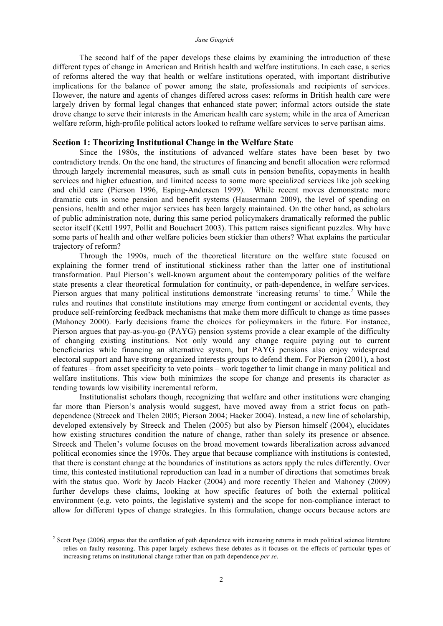The second half of the paper develops these claims by examining the introduction of these different types of change in American and British health and welfare institutions. In each case, a series of reforms altered the way that health or welfare institutions operated, with important distributive implications for the balance of power among the state, professionals and recipients of services. However, the nature and agents of changes differed across cases: reforms in British health care were largely driven by formal legal changes that enhanced state power; informal actors outside the state drove change to serve their interests in the American health care system; while in the area of American welfare reform, high-profile political actors looked to reframe welfare services to serve partisan aims.

#### **Section 1: Theorizing Institutional Change in the Welfare State**

Since the 1980s, the institutions of advanced welfare states have been beset by two contradictory trends. On the one hand, the structures of financing and benefit allocation were reformed through largely incremental measures, such as small cuts in pension benefits, copayments in health services and higher education, and limited access to some more specialized services like job seeking and child care (Pierson 1996, Esping-Andersen 1999). While recent moves demonstrate more dramatic cuts in some pension and benefit systems (Hausermann 2009), the level of spending on pensions, health and other major services has been largely maintained. On the other hand, as scholars of public administration note, during this same period policymakers dramatically reformed the public sector itself (Kettl 1997, Pollit and Bouchaert 2003). This pattern raises significant puzzles. Why have some parts of health and other welfare policies been stickier than others? What explains the particular trajectory of reform?

Through the 1990s, much of the theoretical literature on the welfare state focused on explaining the former trend of institutional stickiness rather than the latter one of institutional transformation. Paul Pierson's well-known argument about the contemporary politics of the welfare state presents a clear theoretical formulation for continuity, or path-dependence, in welfare services. Pierson argues that many political institutions demonstrate 'increasing returns' to time.<sup>2</sup> While the rules and routines that constitute institutions may emerge from contingent or accidental events, they produce self-reinforcing feedback mechanisms that make them more difficult to change as time passes (Mahoney 2000). Early decisions frame the choices for policymakers in the future. For instance, Pierson argues that pay-as-you-go (PAYG) pension systems provide a clear example of the difficulty of changing existing institutions. Not only would any change require paying out to current beneficiaries while financing an alternative system, but PAYG pensions also enjoy widespread electoral support and have strong organized interests groups to defend them. For Pierson (2001), a host of features – from asset specificity to veto points – work together to limit change in many political and welfare institutions. This view both minimizes the scope for change and presents its character as tending towards low visibility incremental reform.

Institutionalist scholars though, recognizing that welfare and other institutions were changing far more than Pierson's analysis would suggest, have moved away from a strict focus on pathdependence (Streeck and Thelen 2005; Pierson 2004; Hacker 2004). Instead, a new line of scholarship, developed extensively by Streeck and Thelen (2005) but also by Pierson himself (2004), elucidates how existing structures condition the nature of change, rather than solely its presence or absence. Streeck and Thelen's volume focuses on the broad movement towards liberalization across advanced political economies since the 1970s. They argue that because compliance with institutions is contested, that there is constant change at the boundaries of institutions as actors apply the rules differently. Over time, this contested institutional reproduction can lead in a number of directions that sometimes break with the status quo. Work by Jacob Hacker (2004) and more recently Thelen and Mahoney (2009) further develops these claims, looking at how specific features of both the external political environment (e.g. veto points, the legislative system) and the scope for non-compliance interact to allow for different types of change strategies. In this formulation, change occurs because actors are

<u>.</u>

<sup>&</sup>lt;sup>2</sup> Scott Page (2006) argues that the conflation of path dependence with increasing returns in much political science literature relies on faulty reasoning. This paper largely eschews these debates as it focuses on the effects of particular types of increasing returns on institutional change rather than on path dependence *per se*.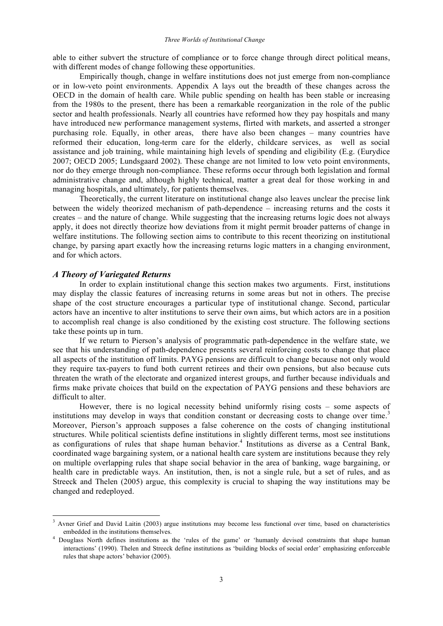able to either subvert the structure of compliance or to force change through direct political means, with different modes of change following these opportunities.

Empirically though, change in welfare institutions does not just emerge from non-compliance or in low-veto point environments. Appendix A lays out the breadth of these changes across the OECD in the domain of health care. While public spending on health has been stable or increasing from the 1980s to the present, there has been a remarkable reorganization in the role of the public sector and health professionals. Nearly all countries have reformed how they pay hospitals and many have introduced new performance management systems, flirted with markets, and asserted a stronger purchasing role. Equally, in other areas, there have also been changes – many countries have reformed their education, long-term care for the elderly, childcare services, as well as social assistance and job training, while maintaining high levels of spending and eligibility (E.g. (Eurydice 2007; OECD 2005; Lundsgaard 2002). These change are not limited to low veto point environments, nor do they emerge through non-compliance. These reforms occur through both legislation and formal administrative change and, although highly technical, matter a great deal for those working in and managing hospitals, and ultimately, for patients themselves.

Theoretically, the current literature on institutional change also leaves unclear the precise link between the widely theorized mechanism of path-dependence – increasing returns and the costs it creates – and the nature of change. While suggesting that the increasing returns logic does not always apply, it does not directly theorize how deviations from it might permit broader patterns of change in welfare institutions. The following section aims to contribute to this recent theorizing on institutional change, by parsing apart exactly how the increasing returns logic matters in a changing environment, and for which actors.

#### *A Theory of Variegated Returns*

In order to explain institutional change this section makes two arguments. First, institutions may display the classic features of increasing returns in some areas but not in others. The precise shape of the cost structure encourages a particular type of institutional change. Second, particular actors have an incentive to alter institutions to serve their own aims, but which actors are in a position to accomplish real change is also conditioned by the existing cost structure. The following sections take these points up in turn.

If we return to Pierson's analysis of programmatic path-dependence in the welfare state, we see that his understanding of path-dependence presents several reinforcing costs to change that place all aspects of the institution off limits. PAYG pensions are difficult to change because not only would they require tax-payers to fund both current retirees and their own pensions, but also because cuts threaten the wrath of the electorate and organized interest groups, and further because individuals and firms make private choices that build on the expectation of PAYG pensions and these behaviors are difficult to alter.

However, there is no logical necessity behind uniformly rising costs – some aspects of institutions may develop in ways that condition constant or decreasing costs to change over time.<sup>3</sup> Moreover, Pierson's approach supposes a false coherence on the costs of changing institutional structures. While political scientists define institutions in slightly different terms, most see institutions as configurations of rules that shape human behavior. <sup>4</sup> Institutions as diverse as a Central Bank, coordinated wage bargaining system, or a national health care system are institutions because they rely on multiple overlapping rules that shape social behavior in the area of banking, wage bargaining, or health care in predictable ways. An institution, then, is not a single rule, but a set of rules, and as Streeck and Thelen (2005) argue, this complexity is crucial to shaping the way institutions may be changed and redeployed.

<sup>&</sup>lt;sup>3</sup> Avner Grief and David Laitin (2003) argue institutions may become less functional over time, based on characteristics embedded in the institutions themselves.

<sup>4</sup> Douglass North defines institutions as the 'rules of the game' or 'humanly devised constraints that shape human interactions' (1990). Thelen and Streeck define institutions as 'building blocks of social order' emphasizing enforceable rules that shape actors' behavior (2005).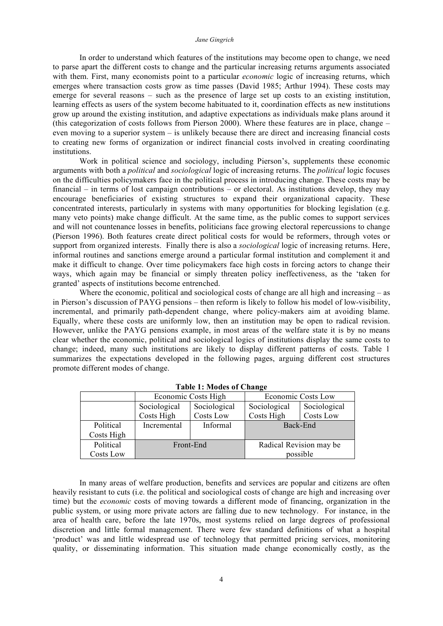#### *Jane Gingrich*

In order to understand which features of the institutions may become open to change, we need to parse apart the different costs to change and the particular increasing returns arguments associated with them. First, many economists point to a particular *economic* logic of increasing returns, which emerges where transaction costs grow as time passes (David 1985; Arthur 1994). These costs may emerge for several reasons – such as the presence of large set up costs to an existing institution, learning effects as users of the system become habituated to it, coordination effects as new institutions grow up around the existing institution, and adaptive expectations as individuals make plans around it (this categorization of costs follows from Pierson 2000). Where these features are in place, change – even moving to a superior system – is unlikely because there are direct and increasing financial costs to creating new forms of organization or indirect financial costs involved in creating coordinating institutions.

Work in political science and sociology, including Pierson's, supplements these economic arguments with both a *political* and *sociological* logic of increasing returns. The *political* logic focuses on the difficulties policymakers face in the political process in introducing change. These costs may be financial – in terms of lost campaign contributions – or electoral. As institutions develop, they may encourage beneficiaries of existing structures to expand their organizational capacity. These concentrated interests, particularly in systems with many opportunities for blocking legislation (e.g. many veto points) make change difficult. At the same time, as the public comes to support services and will not countenance losses in benefits, politicians face growing electoral repercussions to change (Pierson 1996). Both features create direct political costs for would be reformers, through votes or support from organized interests. Finally there is also a *sociological* logic of increasing returns. Here, informal routines and sanctions emerge around a particular formal institution and complement it and make it difficult to change. Over time policymakers face high costs in forcing actors to change their ways, which again may be financial or simply threaten policy ineffectiveness, as the 'taken for granted' aspects of institutions become entrenched.

Where the economic, political and sociological costs of change are all high and increasing – as in Pierson's discussion of PAYG pensions – then reform is likely to follow his model of low-visibility, incremental, and primarily path-dependent change, where policy-makers aim at avoiding blame. Equally, where these costs are uniformly low, then an institution may be open to radical revision. However, unlike the PAYG pensions example, in most areas of the welfare state it is by no means clear whether the economic, political and sociological logics of institutions display the same costs to change; indeed, many such institutions are likely to display different patterns of costs. Table 1 summarizes the expectations developed in the following pages, arguing different cost structures promote different modes of change.

|            | Economic Costs High        |                           | Economic Costs Low         |                           |  |
|------------|----------------------------|---------------------------|----------------------------|---------------------------|--|
|            | Sociological<br>Costs High | Sociological<br>Costs Low | Sociological<br>Costs High | Sociological<br>Costs Low |  |
| Political  | Incremental                | Informal                  | Back-End                   |                           |  |
| Costs High |                            |                           |                            |                           |  |
| Political  | Front-End                  |                           | Radical Revision may be    |                           |  |
| Costs Low  |                            |                           |                            | possible                  |  |

**Table 1: Modes of Change**

In many areas of welfare production, benefits and services are popular and citizens are often heavily resistant to cuts (i.e. the political and sociological costs of change are high and increasing over time) but the *economic* costs of moving towards a different mode of financing, organization in the public system, or using more private actors are falling due to new technology. For instance, in the area of health care, before the late 1970s, most systems relied on large degrees of professional discretion and little formal management. There were few standard definitions of what a hospital 'product' was and little widespread use of technology that permitted pricing services, monitoring quality, or disseminating information. This situation made change economically costly, as the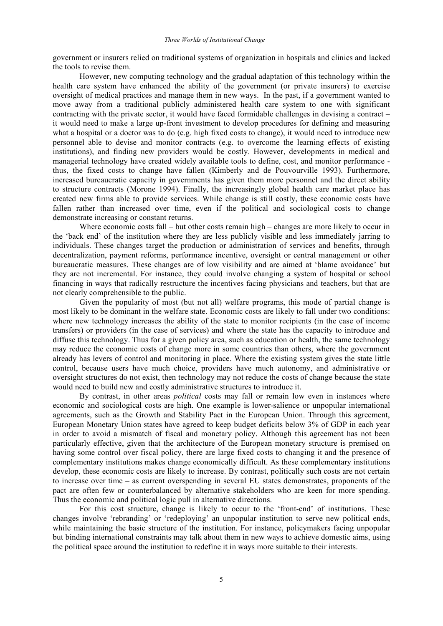government or insurers relied on traditional systems of organization in hospitals and clinics and lacked the tools to revise them.

However, new computing technology and the gradual adaptation of this technology within the health care system have enhanced the ability of the government (or private insurers) to exercise oversight of medical practices and manage them in new ways. In the past, if a government wanted to move away from a traditional publicly administered health care system to one with significant contracting with the private sector, it would have faced formidable challenges in devising a contract – it would need to make a large up-front investment to develop procedures for defining and measuring what a hospital or a doctor was to do (e.g. high fixed costs to change), it would need to introduce new personnel able to devise and monitor contracts (e.g. to overcome the learning effects of existing institutions), and finding new providers would be costly. However, developments in medical and managerial technology have created widely available tools to define, cost, and monitor performance thus, the fixed costs to change have fallen (Kimberly and de Pouvourville 1993). Furthermore, increased bureaucratic capacity in governments has given them more personnel and the direct ability to structure contracts (Morone 1994). Finally, the increasingly global health care market place has created new firms able to provide services. While change is still costly, these economic costs have fallen rather than increased over time, even if the political and sociological costs to change demonstrate increasing or constant returns.

Where economic costs fall – but other costs remain high – changes are more likely to occur in the 'back end' of the institution where they are less publicly visible and less immediately jarring to individuals. These changes target the production or administration of services and benefits, through decentralization, payment reforms, performance incentive, oversight or central management or other bureaucratic measures. These changes are of low visibility and are aimed at 'blame avoidance' but they are not incremental. For instance, they could involve changing a system of hospital or school financing in ways that radically restructure the incentives facing physicians and teachers, but that are not clearly comprehensible to the public.

Given the popularity of most (but not all) welfare programs, this mode of partial change is most likely to be dominant in the welfare state. Economic costs are likely to fall under two conditions: where new technology increases the ability of the state to monitor recipients (in the case of income transfers) or providers (in the case of services) and where the state has the capacity to introduce and diffuse this technology. Thus for a given policy area, such as education or health, the same technology may reduce the economic costs of change more in some countries than others, where the government already has levers of control and monitoring in place. Where the existing system gives the state little control, because users have much choice, providers have much autonomy, and administrative or oversight structures do not exist, then technology may not reduce the costs of change because the state would need to build new and costly administrative structures to introduce it.

By contrast, in other areas *political* costs may fall or remain low even in instances where economic and sociological costs are high. One example is lower-salience or unpopular international agreements, such as the Growth and Stability Pact in the European Union. Through this agreement, European Monetary Union states have agreed to keep budget deficits below 3% of GDP in each year in order to avoid a mismatch of fiscal and monetary policy. Although this agreement has not been particularly effective, given that the architecture of the European monetary structure is premised on having some control over fiscal policy, there are large fixed costs to changing it and the presence of complementary institutions makes change economically difficult. As these complementary institutions develop, these economic costs are likely to increase. By contrast, politically such costs are not certain to increase over time – as current overspending in several EU states demonstrates, proponents of the pact are often few or counterbalanced by alternative stakeholders who are keen for more spending. Thus the economic and political logic pull in alternative directions.

For this cost structure, change is likely to occur to the 'front-end' of institutions. These changes involve 'rebranding' or 'redeploying' an unpopular institution to serve new political ends, while maintaining the basic structure of the institution. For instance, policymakers facing unpopular but binding international constraints may talk about them in new ways to achieve domestic aims, using the political space around the institution to redefine it in ways more suitable to their interests.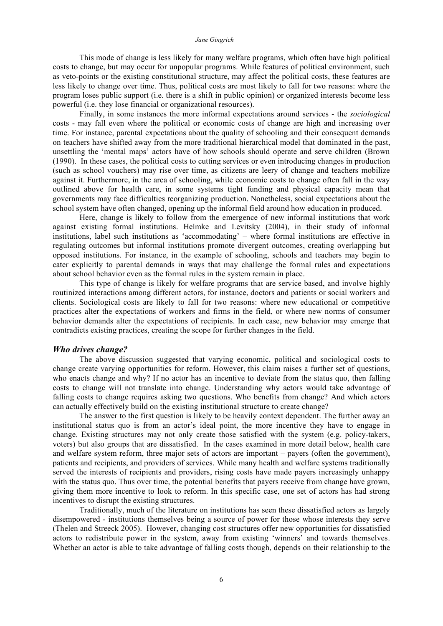#### *Jane Gingrich*

This mode of change is less likely for many welfare programs, which often have high political costs to change, but may occur for unpopular programs. While features of political environment, such as veto-points or the existing constitutional structure, may affect the political costs, these features are less likely to change over time. Thus, political costs are most likely to fall for two reasons: where the program loses public support (i.e. there is a shift in public opinion) or organized interests become less powerful (i.e. they lose financial or organizational resources).

Finally, in some instances the more informal expectations around services - the *sociological* costs - may fall even where the political or economic costs of change are high and increasing over time. For instance, parental expectations about the quality of schooling and their consequent demands on teachers have shifted away from the more traditional hierarchical model that dominated in the past, unsettling the 'mental maps' actors have of how schools should operate and serve children (Brown (1990). In these cases, the political costs to cutting services or even introducing changes in production (such as school vouchers) may rise over time, as citizens are leery of change and teachers mobilize against it. Furthermore, in the area of schooling, while economic costs to change often fall in the way outlined above for health care, in some systems tight funding and physical capacity mean that governments may face difficulties reorganizing production. Nonetheless, social expectations about the school system have often changed, opening up the informal field around how education in produced.

Here, change is likely to follow from the emergence of new informal institutions that work against existing formal institutions. Helmke and Levitsky (2004), in their study of informal institutions, label such institutions as 'accommodating' – where formal institutions are effective in regulating outcomes but informal institutions promote divergent outcomes, creating overlapping but opposed institutions. For instance, in the example of schooling, schools and teachers may begin to cater explicitly to parental demands in ways that may challenge the formal rules and expectations about school behavior even as the formal rules in the system remain in place.

This type of change is likely for welfare programs that are service based, and involve highly routinized interactions among different actors, for instance, doctors and patients or social workers and clients. Sociological costs are likely to fall for two reasons: where new educational or competitive practices alter the expectations of workers and firms in the field, or where new norms of consumer behavior demands alter the expectations of recipients. In each case, new behavior may emerge that contradicts existing practices, creating the scope for further changes in the field.

#### *Who drives change?*

The above discussion suggested that varying economic, political and sociological costs to change create varying opportunities for reform. However, this claim raises a further set of questions, who enacts change and why? If no actor has an incentive to deviate from the status quo, then falling costs to change will not translate into change. Understanding why actors would take advantage of falling costs to change requires asking two questions. Who benefits from change? And which actors can actually effectively build on the existing institutional structure to create change?

The answer to the first question is likely to be heavily context dependent. The further away an institutional status quo is from an actor's ideal point, the more incentive they have to engage in change. Existing structures may not only create those satisfied with the system (e.g. policy-takers, voters) but also groups that are dissatisfied. In the cases examined in more detail below, health care and welfare system reform, three major sets of actors are important – payers (often the government), patients and recipients, and providers of services. While many health and welfare systems traditionally served the interests of recipients and providers, rising costs have made payers increasingly unhappy with the status quo. Thus over time, the potential benefits that payers receive from change have grown, giving them more incentive to look to reform. In this specific case, one set of actors has had strong incentives to disrupt the existing structures.

Traditionally, much of the literature on institutions has seen these dissatisfied actors as largely disempowered - institutions themselves being a source of power for those whose interests they serve (Thelen and Streeck 2005). However, changing cost structures offer new opportunities for dissatisfied actors to redistribute power in the system, away from existing 'winners' and towards themselves. Whether an actor is able to take advantage of falling costs though, depends on their relationship to the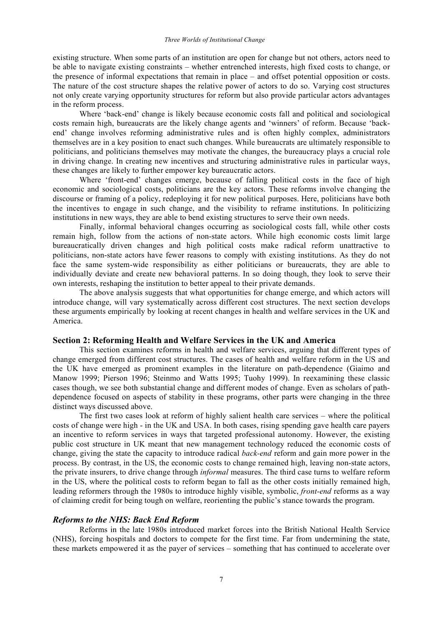existing structure. When some parts of an institution are open for change but not others, actors need to be able to navigate existing constraints – whether entrenched interests, high fixed costs to change, or the presence of informal expectations that remain in place – and offset potential opposition or costs. The nature of the cost structure shapes the relative power of actors to do so. Varying cost structures not only create varying opportunity structures for reform but also provide particular actors advantages in the reform process.

Where 'back-end' change is likely because economic costs fall and political and sociological costs remain high, bureaucrats are the likely change agents and 'winners' of reform. Because 'backend' change involves reforming administrative rules and is often highly complex, administrators themselves are in a key position to enact such changes. While bureaucrats are ultimately responsible to politicians, and politicians themselves may motivate the changes, the bureaucracy plays a crucial role in driving change. In creating new incentives and structuring administrative rules in particular ways, these changes are likely to further empower key bureaucratic actors.

Where 'front-end' changes emerge, because of falling political costs in the face of high economic and sociological costs, politicians are the key actors. These reforms involve changing the discourse or framing of a policy, redeploying it for new political purposes. Here, politicians have both the incentives to engage in such change, and the visibility to reframe institutions. In politicizing institutions in new ways, they are able to bend existing structures to serve their own needs.

Finally, informal behavioral changes occurring as sociological costs fall, while other costs remain high, follow from the actions of non-state actors. While high economic costs limit large bureaucratically driven changes and high political costs make radical reform unattractive to politicians, non-state actors have fewer reasons to comply with existing institutions. As they do not face the same system-wide responsibility as either politicians or bureaucrats, they are able to individually deviate and create new behavioral patterns. In so doing though, they look to serve their own interests, reshaping the institution to better appeal to their private demands.

The above analysis suggests that what opportunities for change emerge, and which actors will introduce change, will vary systematically across different cost structures. The next section develops these arguments empirically by looking at recent changes in health and welfare services in the UK and America.

#### **Section 2: Reforming Health and Welfare Services in the UK and America**

This section examines reforms in health and welfare services, arguing that different types of change emerged from different cost structures. The cases of health and welfare reform in the US and the UK have emerged as prominent examples in the literature on path-dependence (Giaimo and Manow 1999; Pierson 1996; Steinmo and Watts 1995; Tuohy 1999). In reexamining these classic cases though, we see both substantial change and different modes of change. Even as scholars of pathdependence focused on aspects of stability in these programs, other parts were changing in the three distinct ways discussed above.

The first two cases look at reform of highly salient health care services – where the political costs of change were high - in the UK and USA. In both cases, rising spending gave health care payers an incentive to reform services in ways that targeted professional autonomy. However, the existing public cost structure in UK meant that new management technology reduced the economic costs of change, giving the state the capacity to introduce radical *back-end* reform and gain more power in the process. By contrast, in the US, the economic costs to change remained high, leaving non-state actors, the private insurers, to drive change through *informal* measures. The third case turns to welfare reform in the US, where the political costs to reform began to fall as the other costs initially remained high, leading reformers through the 1980s to introduce highly visible, symbolic, *front-end* reforms as a way of claiming credit for being tough on welfare, reorienting the public's stance towards the program.

#### *Reforms to the NHS: Back End Reform*

Reforms in the late 1980s introduced market forces into the British National Health Service (NHS), forcing hospitals and doctors to compete for the first time. Far from undermining the state, these markets empowered it as the payer of services – something that has continued to accelerate over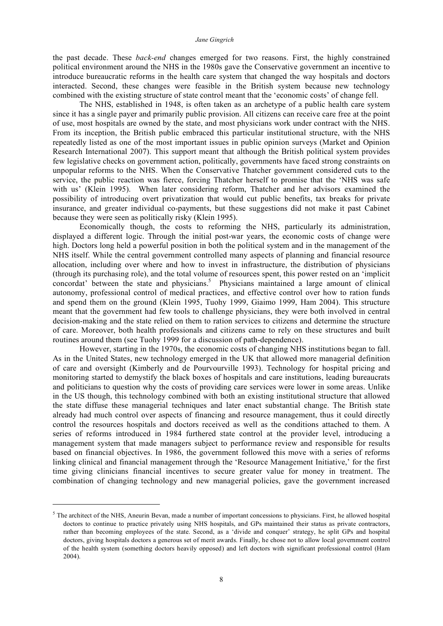#### *Jane Gingrich*

the past decade. These *back-end* changes emerged for two reasons. First, the highly constrained political environment around the NHS in the 1980s gave the Conservative government an incentive to introduce bureaucratic reforms in the health care system that changed the way hospitals and doctors interacted. Second, these changes were feasible in the British system because new technology combined with the existing structure of state control meant that the 'economic costs' of change fell.

The NHS, established in 1948, is often taken as an archetype of a public health care system since it has a single payer and primarily public provision. All citizens can receive care free at the point of use, most hospitals are owned by the state, and most physicians work under contract with the NHS. From its inception, the British public embraced this particular institutional structure, with the NHS repeatedly listed as one of the most important issues in public opinion surveys (Market and Opinion Research International 2007). This support meant that although the British political system provides few legislative checks on government action, politically, governments have faced strong constraints on unpopular reforms to the NHS. When the Conservative Thatcher government considered cuts to the service, the public reaction was fierce, forcing Thatcher herself to promise that the 'NHS was safe with us' (Klein 1995). When later considering reform, Thatcher and her advisors examined the possibility of introducing overt privatization that would cut public benefits, tax breaks for private insurance, and greater individual co-payments, but these suggestions did not make it past Cabinet because they were seen as politically risky (Klein 1995).

Economically though, the costs to reforming the NHS, particularly its administration, displayed a different logic. Through the initial post-war years, the economic costs of change were high. Doctors long held a powerful position in both the political system and in the management of the NHS itself. While the central government controlled many aspects of planning and financial resource allocation, including over where and how to invest in infrastructure, the distribution of physicians (through its purchasing role), and the total volume of resources spent, this power rested on an 'implicit concordat' between the state and physicians. <sup>5</sup> Physicians maintained a large amount of clinical autonomy, professional control of medical practices, and effective control over how to ration funds and spend them on the ground (Klein 1995, Tuohy 1999, Giaimo 1999, Ham 2004). This structure meant that the government had few tools to challenge physicians, they were both involved in central decision-making and the state relied on them to ration services to citizens and determine the structure of care. Moreover, both health professionals and citizens came to rely on these structures and built routines around them (see Tuohy 1999 for a discussion of path-dependence).

However, starting in the 1970s, the economic costs of changing NHS institutions began to fall. As in the United States, new technology emerged in the UK that allowed more managerial definition of care and oversight (Kimberly and de Pourvourville 1993). Technology for hospital pricing and monitoring started to demystify the black boxes of hospitals and care institutions, leading bureaucrats and politicians to question why the costs of providing care services were lower in some areas. Unlike in the US though, this technology combined with both an existing institutional structure that allowed the state diffuse these managerial techniques and later enact substantial change. The British state already had much control over aspects of financing and resource management, thus it could directly control the resources hospitals and doctors received as well as the conditions attached to them. A series of reforms introduced in 1984 furthered state control at the provider level, introducing a management system that made managers subject to performance review and responsible for results based on financial objectives. In 1986, the government followed this move with a series of reforms linking clinical and financial management through the 'Resource Management Initiative,' for the first time giving clinicians financial incentives to secure greater value for money in treatment. The combination of changing technology and new managerial policies, gave the government increased

1

 $<sup>5</sup>$  The architect of the NHS, Aneurin Bevan, made a number of important concessions to physicians. First, he allowed hospital</sup> doctors to continue to practice privately using NHS hospitals, and GPs maintained their status as private contractors, rather than becoming employees of the state. Second, as a 'divide and conquer' strategy, he split GPs and hospital doctors, giving hospitals doctors a generous set of merit awards. Finally, he chose not to allow local government control of the health system (something doctors heavily opposed) and left doctors with significant professional control (Ham 2004).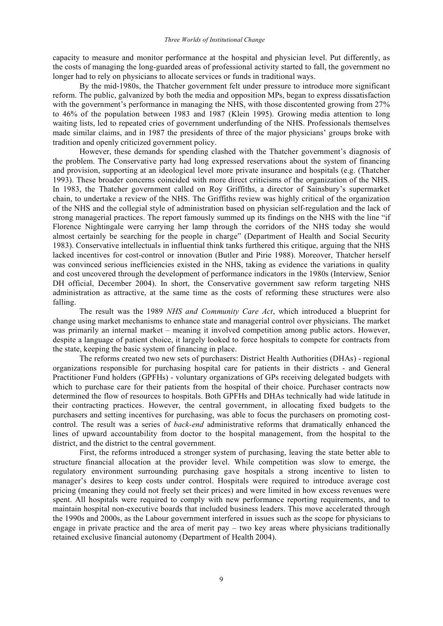capacity to measure and monitor performance at the hospital and physician level. Put differently, as the costs of managing the long-guarded areas of professional activity started to fall, the government no longer had to rely on physicians to allocate services or funds in traditional ways.

By the mid-1980s, the Thatcher government felt under pressure to introduce more significant reform. The public, galvanized by both the media and opposition MPs, began to express dissatisfaction with the government's performance in managing the NHS, with those discontented growing from 27% to 46% of the population between 1983 and 1987 (Klein 1995). Growing media attention to long waiting lists, led to repeated cries of government underfunding of the NHS. Professionals themselves made similar claims, and in 1987 the presidents of three of the major physicians' groups broke with tradition and openly criticized government policy.

However, these demands for spending clashed with the Thatcher government's diagnosis of the problem. The Conservative party had long expressed reservations about the system of financing and provision, supporting at an ideological level more private insurance and hospitals (e.g. (Thatcher 1993). These broader concerns coincided with more direct criticisms of the organization of the NHS. In 1983, the Thatcher government called on Roy Griffiths, a director of Sainsbury's supermarket chain, to undertake a review of the NHS. The Griffiths review was highly critical of the organization of the NHS and the collegial style of administration based on physician self-regulation and the lack of strong managerial practices. The report famously summed up its findings on the NHS with the line "if Florence Nightingale were carrying her lamp through the corridors of the NHS today she would almost certainly be searching for the people in charge" (Department of Health and Social Security 1983). Conservative intellectuals in influential think tanks furthered this critique, arguing that the NHS lacked incentives for cost-control or innovation (Butler and Pirie 1988). Moreover, Thatcher herself was convinced serious inefficiencies existed in the NHS, taking as evidence the variations in quality and cost uncovered through the development of performance indicators in the 1980s (Interview, Senior DH official, December 2004). In short, the Conservative government saw reform targeting NHS administration as attractive, at the same time as the costs of reforming these structures were also falling.

The result was the 1989 *NHS and Community Care Act*, which introduced a blueprint for change using market mechanisms to enhance state and managerial control over physicians. The market was primarily an internal market – meaning it involved competition among public actors. However, despite a language of patient choice, it largely looked to force hospitals to compete for contracts from the state, keeping the basic system of financing in place.

The reforms created two new sets of purchasers: District Health Authorities (DHAs) - regional organizations responsible for purchasing hospital care for patients in their districts - and General Practitioner Fund holders (GPFHs) - voluntary organizations of GPs receiving delegated budgets with which to purchase care for their patients from the hospital of their choice. Purchaser contracts now determined the flow of resources to hospitals. Both GPFHs and DHAs technically had wide latitude in their contracting practices. However, the central government, in allocating fixed budgets to the purchasers and setting incentives for purchasing, was able to focus the purchasers on promoting costcontrol. The result was a series of *back-end* administrative reforms that dramatically enhanced the lines of upward accountability from doctor to the hospital management, from the hospital to the district, and the district to the central government.

First, the reforms introduced a stronger system of purchasing, leaving the state better able to structure financial allocation at the provider level. While competition was slow to emerge, the regulatory environment surrounding purchasing gave hospitals a strong incentive to listen to manager's desires to keep costs under control. Hospitals were required to introduce average cost pricing (meaning they could not freely set their prices) and were limited in how excess revenues were spent. All hospitals were required to comply with new performance reporting requirements, and to maintain hospital non-executive boards that included business leaders. This move accelerated through the 1990s and 2000s, as the Labour government interfered in issues such as the scope for physicians to engage in private practice and the area of merit pay – two key areas where physicians traditionally retained exclusive financial autonomy (Department of Health 2004).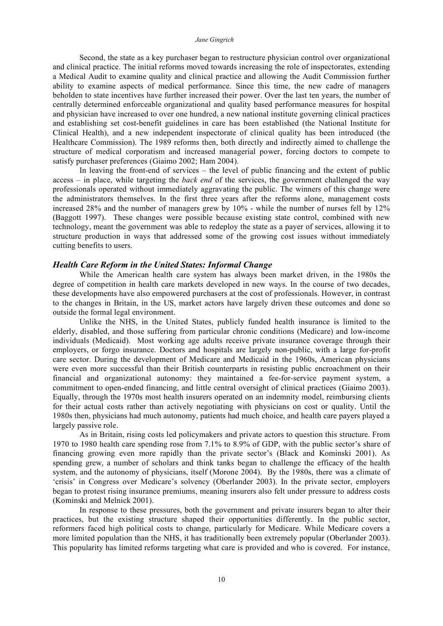#### *Jane Gingrich*

Second, the state as a key purchaser began to restructure physician control over organizational and clinical practice. The initial reforms moved towards increasing the role of inspectorates, extending a Medical Audit to examine quality and clinical practice and allowing the Audit Commission further ability to examine aspects of medical performance. Since this time, the new cadre of managers beholden to state incentives have further increased their power. Over the last ten years, the number of centrally determined enforceable organizational and quality based performance measures for hospital and physician have increased to over one hundred, a new national institute governing clinical practices and establishing set cost-benefit guidelines in care has been established (the National Institute for Clinical Health), and a new independent inspectorate of clinical quality has been introduced (the Healthcare Commission). The 1989 reforms then, both directly and indirectly aimed to challenge the structure of medical corporatism and increased managerial power, forcing doctors to compete to satisfy purchaser preferences (Giaimo 2002; Ham 2004).

In leaving the front-end of services – the level of public financing and the extent of public access – in place, while targeting the *back end* of the services, the government challenged the way professionals operated without immediately aggravating the public. The winners of this change were the administrators themselves. In the first three years after the reforms alone, management costs increased 28% and the number of managers grew by 10% - while the number of nurses fell by 12% (Baggott 1997). These changes were possible because existing state control, combined with new technology, meant the government was able to redeploy the state as a payer of services, allowing it to structure production in ways that addressed some of the growing cost issues without immediately cutting benefits to users.

#### *Health Care Reform in the United States: Informal Change*

While the American health care system has always been market driven, in the 1980s the degree of competition in health care markets developed in new ways. In the course of two decades, these developments have also empowered purchasers at the cost of professionals. However, in contrast to the changes in Britain, in the US, market actors have largely driven these outcomes and done so outside the formal legal environment.

Unlike the NHS, in the United States, publicly funded health insurance is limited to the elderly, disabled, and those suffering from particular chronic conditions (Medicare) and low-income individuals (Medicaid). Most working age adults receive private insurance coverage through their employers, or forgo insurance. Doctors and hospitals are largely non-public, with a large for-profit care sector. During the development of Medicare and Medicaid in the 1960s, American physicians were even more successful than their British counterparts in resisting public encroachment on their financial and organizational autonomy: they maintained a fee-for-service payment system, a commitment to open-ended financing, and little central oversight of clinical practices (Giaimo 2003). Equally, through the 1970s most health insurers operated on an indemnity model, reimbursing clients for their actual costs rather than actively negotiating with physicians on cost or quality. Until the 1980s then, physicians had much autonomy, patients had much choice, and health care payers played a largely passive role.

As in Britain, rising costs led policymakers and private actors to question this structure. From 1970 to 1980 health care spending rose from 7.1% to 8.9% of GDP, with the public sector's share of financing growing even more rapidly than the private sector's (Black and Kominski 2001). As spending grew, a number of scholars and think tanks began to challenge the efficacy of the health system, and the autonomy of physicians, itself (Morone 2004). By the 1980s, there was a climate of 'crisis' in Congress over Medicare's solvency (Oberlander 2003). In the private sector, employers began to protest rising insurance premiums, meaning insurers also felt under pressure to address costs (Kominski and Melnick 2001).

In response to these pressures, both the government and private insurers began to alter their practices, but the existing structure shaped their opportunities differently. In the public sector, reformers faced high political costs to change, particularly for Medicare. While Medicare covers a more limited population than the NHS, it has traditionally been extremely popular (Oberlander 2003). This popularity has limited reforms targeting what care is provided and who is covered. For instance,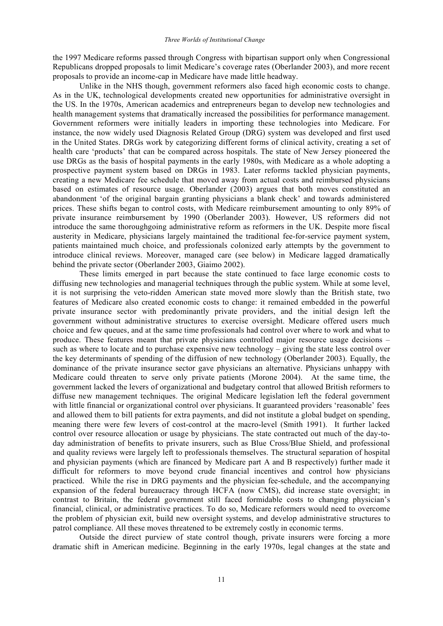the 1997 Medicare reforms passed through Congress with bipartisan support only when Congressional Republicans dropped proposals to limit Medicare's coverage rates (Oberlander 2003), and more recent proposals to provide an income-cap in Medicare have made little headway.

Unlike in the NHS though, government reformers also faced high economic costs to change. As in the UK, technological developments created new opportunities for administrative oversight in the US. In the 1970s, American academics and entrepreneurs began to develop new technologies and health management systems that dramatically increased the possibilities for performance management. Government reformers were initially leaders in importing these technologies into Medicare. For instance, the now widely used Diagnosis Related Group (DRG) system was developed and first used in the United States. DRGs work by categorizing different forms of clinical activity, creating a set of health care 'products' that can be compared across hospitals. The state of New Jersey pioneered the use DRGs as the basis of hospital payments in the early 1980s, with Medicare as a whole adopting a prospective payment system based on DRGs in 1983. Later reforms tackled physician payments, creating a new Medicare fee schedule that moved away from actual costs and reimbursed physicians based on estimates of resource usage. Oberlander (2003) argues that both moves constituted an abandonment 'of the original bargain granting physicians a blank check' and towards administered prices. These shifts began to control costs, with Medicare reimbursement amounting to only 89% of private insurance reimbursement by 1990 (Oberlander 2003). However, US reformers did not introduce the same thoroughgoing administrative reform as reformers in the UK. Despite more fiscal austerity in Medicare, physicians largely maintained the traditional fee-for-service payment system, patients maintained much choice, and professionals colonized early attempts by the government to introduce clinical reviews. Moreover, managed care (see below) in Medicare lagged dramatically behind the private sector (Oberlander 2003, Giaimo 2002).

These limits emerged in part because the state continued to face large economic costs to diffusing new technologies and managerial techniques through the public system. While at some level, it is not surprising the veto-ridden American state moved more slowly than the British state, two features of Medicare also created economic costs to change: it remained embedded in the powerful private insurance sector with predominantly private providers, and the initial design left the government without administrative structures to exercise oversight. Medicare offered users much choice and few queues, and at the same time professionals had control over where to work and what to produce. These features meant that private physicians controlled major resource usage decisions – such as where to locate and to purchase expensive new technology – giving the state less control over the key determinants of spending of the diffusion of new technology (Oberlander 2003). Equally, the dominance of the private insurance sector gave physicians an alternative. Physicians unhappy with Medicare could threaten to serve only private patients (Morone 2004). At the same time, the government lacked the levers of organizational and budgetary control that allowed British reformers to diffuse new management techniques. The original Medicare legislation left the federal government with little financial or organizational control over physicians. It guaranteed providers 'reasonable' fees and allowed them to bill patients for extra payments, and did not institute a global budget on spending, meaning there were few levers of cost-control at the macro-level (Smith 1991). It further lacked control over resource allocation or usage by physicians. The state contracted out much of the day-today administration of benefits to private insurers, such as Blue Cross/Blue Shield, and professional and quality reviews were largely left to professionals themselves. The structural separation of hospital and physician payments (which are financed by Medicare part A and B respectively) further made it difficult for reformers to move beyond crude financial incentives and control how physicians practiced. While the rise in DRG payments and the physician fee-schedule, and the accompanying expansion of the federal bureaucracy through HCFA (now CMS), did increase state oversight; in contrast to Britain, the federal government still faced formidable costs to changing physician's financial, clinical, or administrative practices. To do so, Medicare reformers would need to overcome the problem of physician exit, build new oversight systems, and develop administrative structures to patrol compliance. All these moves threatened to be extremely costly in economic terms.

Outside the direct purview of state control though, private insurers were forcing a more dramatic shift in American medicine. Beginning in the early 1970s, legal changes at the state and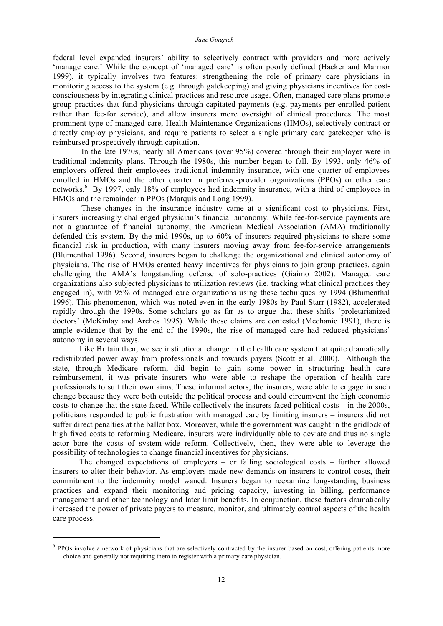federal level expanded insurers' ability to selectively contract with providers and more actively 'manage care.' While the concept of 'managed care' is often poorly defined (Hacker and Marmor 1999), it typically involves two features: strengthening the role of primary care physicians in monitoring access to the system (e.g. through gatekeeping) and giving physicians incentives for costconsciousness by integrating clinical practices and resource usage. Often, managed care plans promote group practices that fund physicians through capitated payments (e.g. payments per enrolled patient rather than fee-for service), and allow insurers more oversight of clinical procedures. The most prominent type of managed care, Health Maintenance Organizations (HMOs), selectively contract or directly employ physicians, and require patients to select a single primary care gatekeeper who is reimbursed prospectively through capitation.

In the late 1970s, nearly all Americans (over 95%) covered through their employer were in traditional indemnity plans. Through the 1980s, this number began to fall. By 1993, only 46% of employers offered their employees traditional indemnity insurance, with one quarter of employees enrolled in HMOs and the other quarter in preferred-provider organizations (PPOs) or other care networks.<sup>6</sup> By 1997, only 18% of employees had indemnity insurance, with a third of employees in HMOs and the remainder in PPOs (Marquis and Long 1999).

These changes in the insurance industry came at a significant cost to physicians. First, insurers increasingly challenged physician's financial autonomy. While fee-for-service payments are not a guarantee of financial autonomy, the American Medical Association (AMA) traditionally defended this system. By the mid-1990s, up to 60% of insurers required physicians to share some financial risk in production, with many insurers moving away from fee-for-service arrangements (Blumenthal 1996). Second, insurers began to challenge the organizational and clinical autonomy of physicians. The rise of HMOs created heavy incentives for physicians to join group practices, again challenging the AMA's longstanding defense of solo-practices (Giaimo 2002). Managed care organizations also subjected physicians to utilization reviews (i.e. tracking what clinical practices they engaged in), with 95% of managed care organizations using these techniques by 1994 (Blumenthal 1996). This phenomenon, which was noted even in the early 1980s by Paul Starr (1982), accelerated rapidly through the 1990s. Some scholars go as far as to argue that these shifts 'proletarianized doctors' (McKinlay and Arches 1995). While these claims are contested (Mechanic 1991), there is ample evidence that by the end of the 1990s, the rise of managed care had reduced physicians' autonomy in several ways.

Like Britain then, we see institutional change in the health care system that quite dramatically redistributed power away from professionals and towards payers (Scott et al. 2000). Although the state, through Medicare reform, did begin to gain some power in structuring health care reimbursement, it was private insurers who were able to reshape the operation of health care professionals to suit their own aims. These informal actors, the insurers, were able to engage in such change because they were both outside the political process and could circumvent the high economic costs to change that the state faced. While collectively the insurers faced political costs – in the 2000s, politicians responded to public frustration with managed care by limiting insurers – insurers did not suffer direct penalties at the ballot box. Moreover, while the government was caught in the gridlock of high fixed costs to reforming Medicare, insurers were individually able to deviate and thus no single actor bore the costs of system-wide reform. Collectively, then, they were able to leverage the possibility of technologies to change financial incentives for physicians.

The changed expectations of employers – or falling sociological costs – further allowed insurers to alter their behavior. As employers made new demands on insurers to control costs, their commitment to the indemnity model waned. Insurers began to reexamine long-standing business practices and expand their monitoring and pricing capacity, investing in billing, performance management and other technology and later limit benefits. In conjunction, these factors dramatically increased the power of private payers to measure, monitor, and ultimately control aspects of the health care process.

1

<sup>&</sup>lt;sup>6</sup> PPOs involve a network of physicians that are selectively contracted by the insurer based on cost, offering patients more choice and generally not requiring them to register with a primary care physician.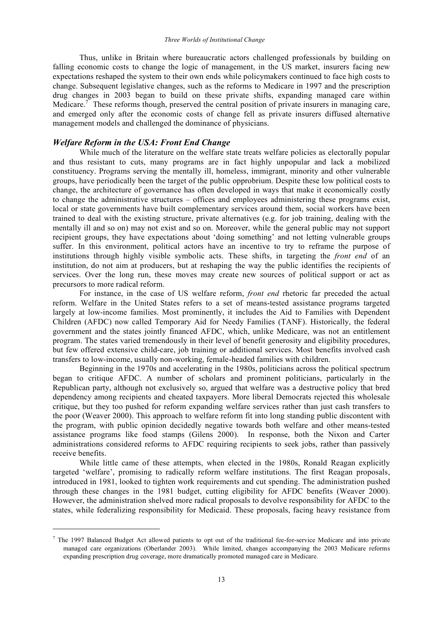Thus, unlike in Britain where bureaucratic actors challenged professionals by building on falling economic costs to change the logic of management, in the US market, insurers facing new expectations reshaped the system to their own ends while policymakers continued to face high costs to change. Subsequent legislative changes, such as the reforms to Medicare in 1997 and the prescription drug changes in 2003 began to build on these private shifts, expanding managed care within Medicare.<sup>7</sup> These reforms though, preserved the central position of private insurers in managing care, and emerged only after the economic costs of change fell as private insurers diffused alternative management models and challenged the dominance of physicians.

## *Welfare Reform in the USA: Front End Change*

<u>.</u>

While much of the literature on the welfare state treats welfare policies as electorally popular and thus resistant to cuts, many programs are in fact highly unpopular and lack a mobilized constituency. Programs serving the mentally ill, homeless, immigrant, minority and other vulnerable groups, have periodically been the target of the public opprobrium. Despite these low political costs to change, the architecture of governance has often developed in ways that make it economically costly to change the administrative structures – offices and employees administering these programs exist, local or state governments have built complementary services around them, social workers have been trained to deal with the existing structure, private alternatives (e.g. for job training, dealing with the mentally ill and so on) may not exist and so on. Moreover, while the general public may not support recipient groups, they have expectations about 'doing something' and not letting vulnerable groups suffer. In this environment, political actors have an incentive to try to reframe the purpose of institutions through highly visible symbolic acts. These shifts, in targeting the *front end* of an institution, do not aim at producers, but at reshaping the way the public identifies the recipients of services. Over the long run, these moves may create new sources of political support or act as precursors to more radical reform.

For instance, in the case of US welfare reform, *front end* rhetoric far preceded the actual reform. Welfare in the United States refers to a set of means-tested assistance programs targeted largely at low-income families. Most prominently, it includes the Aid to Families with Dependent Children (AFDC) now called Temporary Aid for Needy Families (TANF). Historically, the federal government and the states jointly financed AFDC, which, unlike Medicare, was not an entitlement program. The states varied tremendously in their level of benefit generosity and eligibility procedures, but few offered extensive child-care, job training or additional services. Most benefits involved cash transfers to low-income, usually non-working, female-headed families with children.

Beginning in the 1970s and accelerating in the 1980s, politicians across the political spectrum began to critique AFDC. A number of scholars and prominent politicians, particularly in the Republican party, although not exclusively so, argued that welfare was a destructive policy that bred dependency among recipients and cheated taxpayers. More liberal Democrats rejected this wholesale critique, but they too pushed for reform expanding welfare services rather than just cash transfers to the poor (Weaver 2000). This approach to welfare reform fit into long standing public discontent with the program, with public opinion decidedly negative towards both welfare and other means-tested assistance programs like food stamps (Gilens 2000). In response, both the Nixon and Carter administrations considered reforms to AFDC requiring recipients to seek jobs, rather than passively receive benefits.

While little came of these attempts, when elected in the 1980s, Ronald Reagan explicitly targeted 'welfare', promising to radically reform welfare institutions. The first Reagan proposals, introduced in 1981, looked to tighten work requirements and cut spending. The administration pushed through these changes in the 1981 budget, cutting eligibility for AFDC benefits (Weaver 2000). However, the administration shelved more radical proposals to devolve responsibility for AFDC to the states, while federalizing responsibility for Medicaid. These proposals, facing heavy resistance from

 $7$  The 1997 Balanced Budget Act allowed patients to opt out of the traditional fee-for-service Medicare and into private managed care organizations (Oberlander 2003). While limited, changes accompanying the 2003 Medicare reforms expanding prescription drug coverage, more dramatically promoted managed care in Medicare.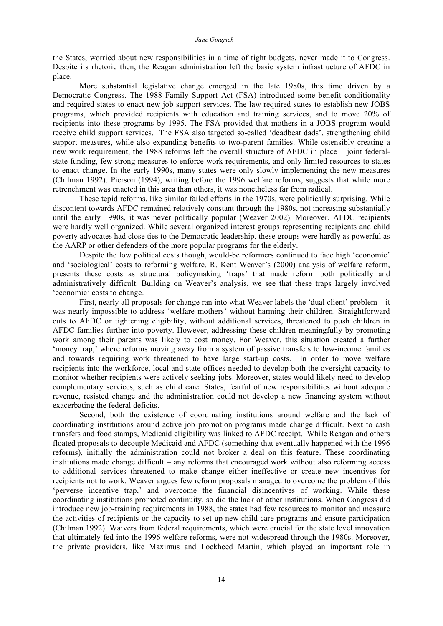the States, worried about new responsibilities in a time of tight budgets, never made it to Congress. Despite its rhetoric then, the Reagan administration left the basic system infrastructure of AFDC in place.

More substantial legislative change emerged in the late 1980s, this time driven by a Democratic Congress. The 1988 Family Support Act (FSA) introduced some benefit conditionality and required states to enact new job support services. The law required states to establish new JOBS programs, which provided recipients with education and training services, and to move 20% of recipients into these programs by 1995. The FSA provided that mothers in a JOBS program would receive child support services. The FSA also targeted so-called 'deadbeat dads', strengthening child support measures, while also expanding benefits to two-parent families. While ostensibly creating a new work requirement, the 1988 reforms left the overall structure of AFDC in place – joint federalstate funding, few strong measures to enforce work requirements, and only limited resources to states to enact change. In the early 1990s, many states were only slowly implementing the new measures (Chilman 1992). Pierson (1994), writing before the 1996 welfare reforms, suggests that while more retrenchment was enacted in this area than others, it was nonetheless far from radical.

These tepid reforms, like similar failed efforts in the 1970s, were politically surprising. While discontent towards AFDC remained relatively constant through the 1980s, not increasing substantially until the early 1990s, it was never politically popular (Weaver 2002). Moreover, AFDC recipients were hardly well organized. While several organized interest groups representing recipients and child poverty advocates had close ties to the Democratic leadership, these groups were hardly as powerful as the AARP or other defenders of the more popular programs for the elderly.

Despite the low political costs though, would-be reformers continued to face high 'economic' and 'sociological' costs to reforming welfare. R. Kent Weaver's (2000) analysis of welfare reform, presents these costs as structural policymaking 'traps' that made reform both politically and administratively difficult. Building on Weaver's analysis, we see that these traps largely involved 'economic' costs to change.

First, nearly all proposals for change ran into what Weaver labels the 'dual client' problem – it was nearly impossible to address 'welfare mothers' without harming their children. Straightforward cuts to AFDC or tightening eligibility, without additional services, threatened to push children in AFDC families further into poverty. However, addressing these children meaningfully by promoting work among their parents was likely to cost money. For Weaver, this situation created a further 'money trap,' where reforms moving away from a system of passive transfers to low-income families and towards requiring work threatened to have large start-up costs. In order to move welfare recipients into the workforce, local and state offices needed to develop both the oversight capacity to monitor whether recipients were actively seeking jobs. Moreover, states would likely need to develop complementary services, such as child care. States, fearful of new responsibilities without adequate revenue, resisted change and the administration could not develop a new financing system without exacerbating the federal deficits.

Second, both the existence of coordinating institutions around welfare and the lack of coordinating institutions around active job promotion programs made change difficult. Next to cash transfers and food stamps, Medicaid eligibility was linked to AFDC receipt. While Reagan and others floated proposals to decouple Medicaid and AFDC (something that eventually happened with the 1996 reforms), initially the administration could not broker a deal on this feature. These coordinating institutions made change difficult – any reforms that encouraged work without also reforming access to additional services threatened to make change either ineffective or create new incentives for recipients not to work. Weaver argues few reform proposals managed to overcome the problem of this 'perverse incentive trap,' and overcome the financial disincentives of working. While these coordinating institutions promoted continuity, so did the lack of other institutions. When Congress did introduce new job-training requirements in 1988, the states had few resources to monitor and measure the activities of recipients or the capacity to set up new child care programs and ensure participation (Chilman 1992). Waivers from federal requirements, which were crucial for the state level innovation that ultimately fed into the 1996 welfare reforms, were not widespread through the 1980s. Moreover, the private providers, like Maximus and Lockheed Martin, which played an important role in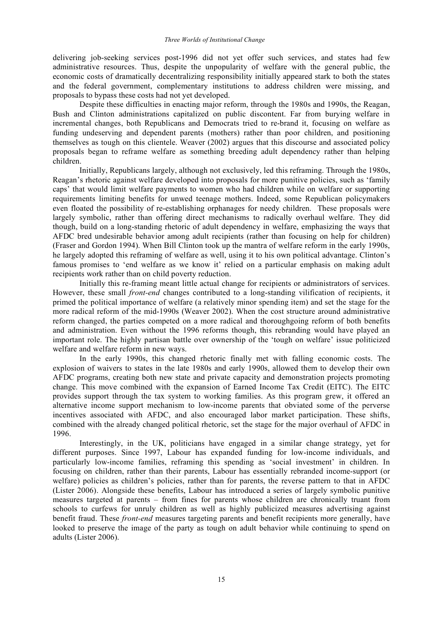delivering job-seeking services post-1996 did not yet offer such services, and states had few administrative resources. Thus, despite the unpopularity of welfare with the general public, the economic costs of dramatically decentralizing responsibility initially appeared stark to both the states and the federal government, complementary institutions to address children were missing, and proposals to bypass these costs had not yet developed.

Despite these difficulties in enacting major reform, through the 1980s and 1990s, the Reagan, Bush and Clinton administrations capitalized on public discontent. Far from burying welfare in incremental changes, both Republicans and Democrats tried to re-brand it, focusing on welfare as funding undeserving and dependent parents (mothers) rather than poor children, and positioning themselves as tough on this clientele. Weaver (2002) argues that this discourse and associated policy proposals began to reframe welfare as something breeding adult dependency rather than helping children.

Initially, Republicans largely, although not exclusively, led this reframing. Through the 1980s, Reagan's rhetoric against welfare developed into proposals for more punitive policies, such as 'family caps' that would limit welfare payments to women who had children while on welfare or supporting requirements limiting benefits for unwed teenage mothers. Indeed, some Republican policymakers even floated the possibility of re-establishing orphanages for needy children. These proposals were largely symbolic, rather than offering direct mechanisms to radically overhaul welfare. They did though, build on a long-standing rhetoric of adult dependency in welfare, emphasizing the ways that AFDC bred undesirable behavior among adult recipients (rather than focusing on help for children) (Fraser and Gordon 1994). When Bill Clinton took up the mantra of welfare reform in the early 1990s, he largely adopted this reframing of welfare as well, using it to his own political advantage. Clinton's famous promises to 'end welfare as we know it' relied on a particular emphasis on making adult recipients work rather than on child poverty reduction.

Initially this re-framing meant little actual change for recipients or administrators of services. However, these small *front-end* changes contributed to a long-standing vilification of recipients, it primed the political importance of welfare (a relatively minor spending item) and set the stage for the more radical reform of the mid-1990s (Weaver 2002). When the cost structure around administrative reform changed, the parties competed on a more radical and thoroughgoing reform of both benefits and administration. Even without the 1996 reforms though, this rebranding would have played an important role. The highly partisan battle over ownership of the 'tough on welfare' issue politicized welfare and welfare reform in new ways.

In the early 1990s, this changed rhetoric finally met with falling economic costs. The explosion of waivers to states in the late 1980s and early 1990s, allowed them to develop their own AFDC programs, creating both new state and private capacity and demonstration projects promoting change. This move combined with the expansion of Earned Income Tax Credit (EITC). The EITC provides support through the tax system to working families. As this program grew, it offered an alternative income support mechanism to low-income parents that obviated some of the perverse incentives associated with AFDC, and also encouraged labor market participation. These shifts, combined with the already changed political rhetoric, set the stage for the major overhaul of AFDC in 1996.

Interestingly, in the UK, politicians have engaged in a similar change strategy, yet for different purposes. Since 1997, Labour has expanded funding for low-income individuals, and particularly low-income families, reframing this spending as 'social investment' in children. In focusing on children, rather than their parents, Labour has essentially rebranded income-support (or welfare) policies as children's policies, rather than for parents, the reverse pattern to that in AFDC (Lister 2006). Alongside these benefits, Labour has introduced a series of largely symbolic punitive measures targeted at parents – from fines for parents whose children are chronically truant from schools to curfews for unruly children as well as highly publicized measures advertising against benefit fraud. These *front-end* measures targeting parents and benefit recipients more generally, have looked to preserve the image of the party as tough on adult behavior while continuing to spend on adults (Lister 2006).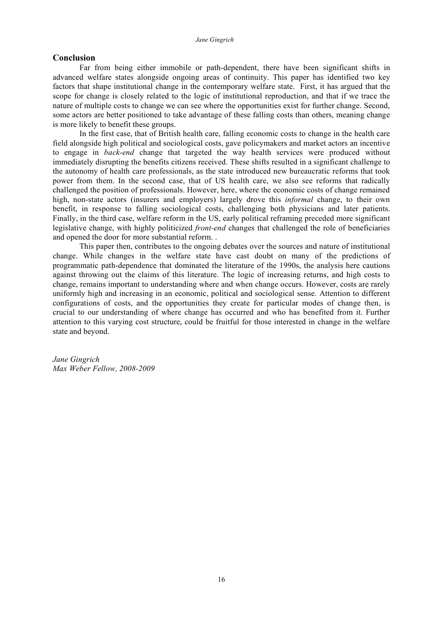### **Conclusion**

Far from being either immobile or path-dependent, there have been significant shifts in advanced welfare states alongside ongoing areas of continuity. This paper has identified two key factors that shape institutional change in the contemporary welfare state. First, it has argued that the scope for change is closely related to the logic of institutional reproduction, and that if we trace the nature of multiple costs to change we can see where the opportunities exist for further change. Second, some actors are better positioned to take advantage of these falling costs than others, meaning change is more likely to benefit these groups.

In the first case, that of British health care, falling economic costs to change in the health care field alongside high political and sociological costs, gave policymakers and market actors an incentive to engage in *back-end* change that targeted the way health services were produced without immediately disrupting the benefits citizens received. These shifts resulted in a significant challenge to the autonomy of health care professionals, as the state introduced new bureaucratic reforms that took power from them. In the second case, that of US health care, we also see reforms that radically challenged the position of professionals. However, here, where the economic costs of change remained high, non-state actors (insurers and employers) largely drove this *informal* change, to their own benefit, in response to falling sociological costs, challenging both physicians and later patients. Finally, in the third case, welfare reform in the US, early political reframing preceded more significant legislative change, with highly politicized *front-end* changes that challenged the role of beneficiaries and opened the door for more substantial reform. .

This paper then, contributes to the ongoing debates over the sources and nature of institutional change. While changes in the welfare state have cast doubt on many of the predictions of programmatic path-dependence that dominated the literature of the 1990s, the analysis here cautions against throwing out the claims of this literature. The logic of increasing returns, and high costs to change, remains important to understanding where and when change occurs. However, costs are rarely uniformly high and increasing in an economic, political and sociological sense. Attention to different configurations of costs, and the opportunities they create for particular modes of change then, is crucial to our understanding of where change has occurred and who has benefited from it. Further attention to this varying cost structure, could be fruitful for those interested in change in the welfare state and beyond.

*Jane Gingrich Max Weber Fellow, 2008-2009*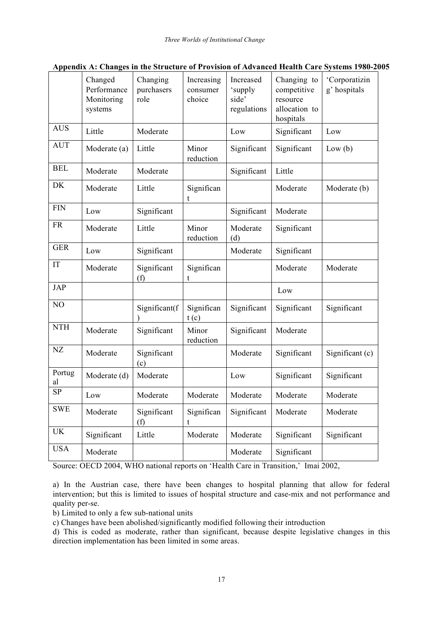|              | Changed<br>Performance<br>Monitoring<br>systems | Changing<br>purchasers<br>role | Increasing<br>consumer<br>choice | Increased<br>'supply<br>side'<br>regulations | Changing to<br>competitive<br>resource<br>allocation to<br>hospitals | 'Corporatizin<br>g' hospitals |
|--------------|-------------------------------------------------|--------------------------------|----------------------------------|----------------------------------------------|----------------------------------------------------------------------|-------------------------------|
| <b>AUS</b>   | Little                                          | Moderate                       |                                  | Low                                          | Significant                                                          | Low                           |
| <b>AUT</b>   | Moderate (a)                                    | Little                         | Minor<br>reduction               | Significant                                  | Significant                                                          | Low(b)                        |
| <b>BEL</b>   | Moderate                                        | Moderate                       |                                  | Significant                                  | Little                                                               |                               |
| <b>DK</b>    | Moderate                                        | Little                         | Significan<br>t                  |                                              | Moderate                                                             | Moderate (b)                  |
| <b>FIN</b>   | Low                                             | Significant                    |                                  | Significant                                  | Moderate                                                             |                               |
| <b>FR</b>    | Moderate                                        | Little                         | Minor<br>reduction               | Moderate<br>(d)                              | Significant                                                          |                               |
| <b>GER</b>   | Low                                             | Significant                    |                                  | Moderate                                     | Significant                                                          |                               |
| IT           | Moderate                                        | Significant<br>(f)             | Significan<br>t                  |                                              | Moderate                                                             | Moderate                      |
| <b>JAP</b>   |                                                 |                                |                                  |                                              | Low                                                                  |                               |
| NO           |                                                 | Significant(f                  | Significan<br>t(c)               | Significant                                  | Significant                                                          | Significant                   |
| <b>NTH</b>   | Moderate                                        | Significant                    | Minor<br>reduction               | Significant                                  | Moderate                                                             |                               |
| NZ           | Moderate                                        | Significant<br>(c)             |                                  | Moderate                                     | Significant                                                          | Significant (c)               |
| Portug<br>al | Moderate (d)                                    | Moderate                       |                                  | Low                                          | Significant                                                          | Significant                   |
| <b>SP</b>    | Low                                             | Moderate                       | Moderate                         | Moderate                                     | Moderate                                                             | Moderate                      |
| <b>SWE</b>   | Moderate                                        | Significant<br>(f)             | Significan<br>t                  | Significant                                  | Moderate                                                             | Moderate                      |
| <b>UK</b>    | Significant                                     | Little                         | Moderate                         | Moderate                                     | Significant                                                          | Significant                   |
| <b>USA</b>   | Moderate                                        |                                |                                  | Moderate                                     | Significant                                                          |                               |

# **Appendix A: Changes in the Structure of Provision of Advanced Health Care Systems 1980-2005**

Source: OECD 2004, WHO national reports on 'Health Care in Transition,' Imai 2002,

a) In the Austrian case, there have been changes to hospital planning that allow for federal intervention; but this is limited to issues of hospital structure and case-mix and not performance and quality per-se.

b) Limited to only a few sub-national units

c) Changes have been abolished/significantly modified following their introduction

d) This is coded as moderate, rather than significant, because despite legislative changes in this direction implementation has been limited in some areas.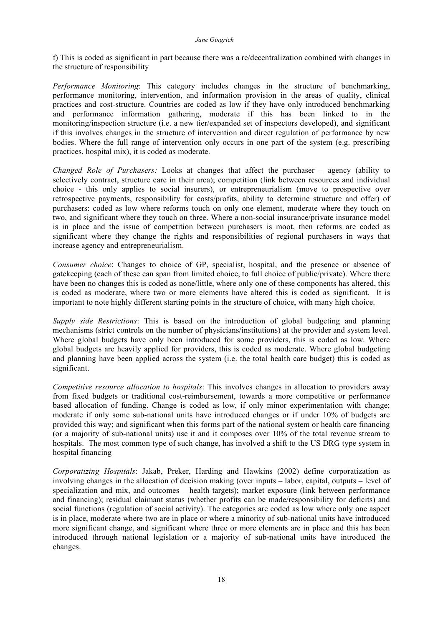f) This is coded as significant in part because there was a re/decentralization combined with changes in the structure of responsibility

*Performance Monitoring*: This category includes changes in the structure of benchmarking, performance monitoring, intervention, and information provision in the areas of quality, clinical practices and cost-structure. Countries are coded as low if they have only introduced benchmarking and performance information gathering, moderate if this has been linked to in the monitoring/inspection structure (i.e. a new tier/expanded set of inspectors developed), and significant if this involves changes in the structure of intervention and direct regulation of performance by new bodies. Where the full range of intervention only occurs in one part of the system (e.g. prescribing practices, hospital mix), it is coded as moderate.

*Changed Role of Purchasers:* Looks at changes that affect the purchaser – agency (ability to selectively contract, structure care in their area); competition (link between resources and individual choice - this only applies to social insurers), or entrepreneurialism (move to prospective over retrospective payments, responsibility for costs/profits, ability to determine structure and offer) of purchasers: coded as low where reforms touch on only one element, moderate where they touch on two, and significant where they touch on three. Where a non-social insurance/private insurance model is in place and the issue of competition between purchasers is moot, then reforms are coded as significant where they change the rights and responsibilities of regional purchasers in ways that increase agency and entrepreneurialism.

*Consumer choice*: Changes to choice of GP, specialist, hospital, and the presence or absence of gatekeeping (each of these can span from limited choice, to full choice of public/private). Where there have been no changes this is coded as none/little, where only one of these components has altered, this is coded as moderate, where two or more elements have altered this is coded as significant. It is important to note highly different starting points in the structure of choice, with many high choice.

*Supply side Restrictions*: This is based on the introduction of global budgeting and planning mechanisms (strict controls on the number of physicians/institutions) at the provider and system level. Where global budgets have only been introduced for some providers, this is coded as low. Where global budgets are heavily applied for providers, this is coded as moderate. Where global budgeting and planning have been applied across the system (i.e. the total health care budget) this is coded as significant.

*Competitive resource allocation to hospitals*: This involves changes in allocation to providers away from fixed budgets or traditional cost-reimbursement, towards a more competitive or performance based allocation of funding. Change is coded as low, if only minor experimentation with change; moderate if only some sub-national units have introduced changes or if under 10% of budgets are provided this way; and significant when this forms part of the national system or health care financing (or a majority of sub-national units) use it and it composes over 10% of the total revenue stream to hospitals. The most common type of such change, has involved a shift to the US DRG type system in hospital financing

*Corporatizing Hospitals*: Jakab, Preker, Harding and Hawkins (2002) define corporatization as involving changes in the allocation of decision making (over inputs – labor, capital, outputs – level of specialization and mix, and outcomes – health targets); market exposure (link between performance and financing); residual claimant status (whether profits can be made/responsibility for deficits) and social functions (regulation of social activity). The categories are coded as low where only one aspect is in place, moderate where two are in place or where a minority of sub-national units have introduced more significant change, and significant where three or more elements are in place and this has been introduced through national legislation or a majority of sub-national units have introduced the changes.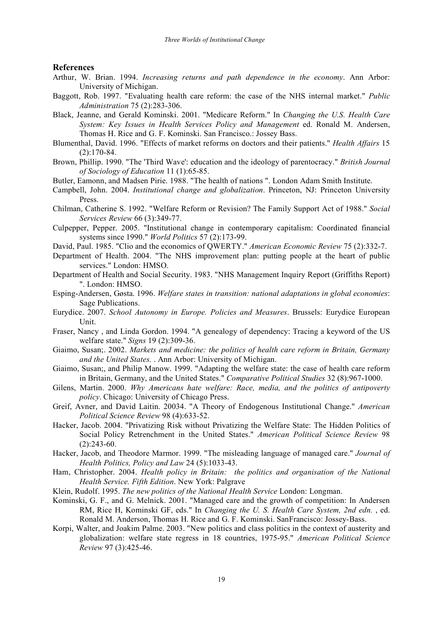#### **References**

- Arthur, W. Brian. 1994. *Increasing returns and path dependence in the economy*. Ann Arbor: University of Michigan.
- Baggott, Rob. 1997. "Evaluating health care reform: the case of the NHS internal market." *Public Administration* 75 (2):283-306.
- Black, Jeanne, and Gerald Kominski. 2001. "Medicare Reform." In *Changing the U.S. Health Care System: Key Issues in Health Services Policy and Management* ed. Ronald M. Andersen, Thomas H. Rice and G. F. Kominski. San Francisco.: Jossey Bass.
- Blumenthal, David. 1996. "Effects of market reforms on doctors and their patients." *Health Affairs* 15 (2):170-84.
- Brown, Phillip. 1990. "The 'Third Wave': education and the ideology of parentocracy." *British Journal of Sociology of Education* 11 (1):65-85.
- Butler, Eamonn, and Madsen Pirie. 1988. "The health of nations ". London Adam Smith Institute.
- Campbell, John. 2004. *Institutional change and globalization*. Princeton, NJ: Princeton University Press.
- Chilman, Catherine S. 1992. "Welfare Reform or Revision? The Family Support Act of 1988." *Social Services Review* 66 (3):349-77.
- Culpepper, Pepper. 2005. "Institutional change in contemporary capitalism: Coordinated financial systems since 1990." *World Politics* 57 (2):173-99.
- David, Paul. 1985. "Clio and the economics of QWERTY." *American Economic Review* 75 (2):332-7.
- Department of Health. 2004. "The NHS improvement plan: putting people at the heart of public services." London: HMSO.
- Department of Health and Social Security. 1983. "NHS Management Inquiry Report (Griffiths Report) ". London: HMSO.
- Esping-Andersen, Gøsta. 1996. *Welfare states in transition: national adaptations in global economies*: Sage Publications.
- Eurydice. 2007. *School Autonomy in Europe. Policies and Measures*. Brussels: Eurydice European Unit.
- Fraser, Nancy , and Linda Gordon. 1994. "A genealogy of dependency: Tracing a keyword of the US welfare state." *Signs* 19 (2):309-36.
- Giaimo, Susan;. 2002. *Markets and medicine: the politics of health care reform in Britain, Germany and the United States.* . Ann Arbor: University of Michigan.
- Giaimo, Susan;, and Philip Manow. 1999. "Adapting the welfare state: the case of health care reform in Britain, Germany, and the United States." *Comparative Political Studies* 32 (8):967-1000.
- Gilens, Martin. 2000. *Why Americans hate welfare: Race, media, and the politics of antipoverty policy*. Chicago: University of Chicago Press.
- Greif, Avner, and David Laitin. 20034. "A Theory of Endogenous Institutional Change." *American Political Science Review* 98 (4):633-52.
- Hacker, Jacob. 2004. "Privatizing Risk without Privatizing the Welfare State: The Hidden Politics of Social Policy Retrenchment in the United States." *American Political Science Review* 98  $(2):243-60.$
- Hacker, Jacob, and Theodore Marmor. 1999. "The misleading language of managed care." *Journal of Health Politics, Policy and Law* 24 (5):1033-43.
- Ham, Christopher. 2004. *Health policy in Britain: the politics and organisation of the National Health Service. Fifth Edition*. New York: Palgrave
- Klein, Rudolf. 1995. *The new politics of the National Health Service* London: Longman.
- Kominski, G. F., and G. Melnick. 2001. "Managed care and the growth of competition: In Andersen RM, Rice H, Kominski GF, eds." In *Changing the U. S. Health Care System, 2nd edn.* , ed. Ronald M. Anderson, Thomas H. Rice and G. F. Kominski. SanFrancisco: Jossey-Bass.
- Korpi, Walter, and Joakim Palme. 2003. "New politics and class politics in the context of austerity and globalization: welfare state regress in 18 countries, 1975-95." *American Political Science Review* 97 (3):425-46.